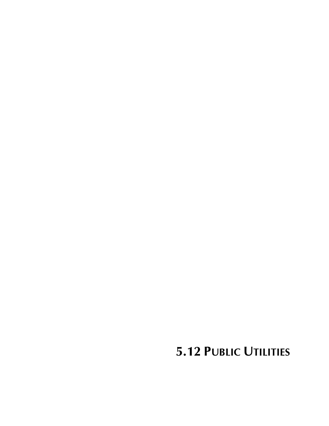**5.12 PUBLIC UTILITIES**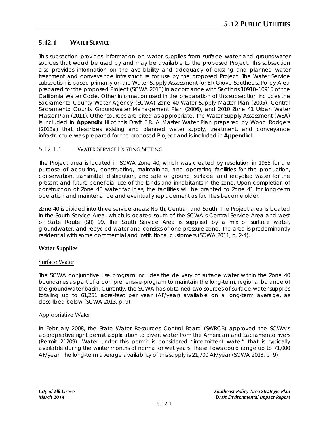# **5.12.1 WATER SERVICE**

This subsection provides information on water supplies from surface water and groundwater sources that would be used by and may be available to the proposed Project. This subsection also provides information on the availability and adequacy of existing and planned water treatment and conveyance infrastructure for use by the proposed Project. The Water Service subsection is based primarily on the Water Supply Assessment for Elk Grove Southeast Policy Area prepared for the proposed Project (SCWA 2013) in accordance with Sections 10910–10915 of the California Water Code. Other information used in the preparation of this subsection includes the Sacramento County Water Agency (SCWA) Zone 40 Water Supply Master Plan (2005), Central Sacramento County Groundwater Management Plan (2006), and 2010 Zone 41 Urban Water Master Plan (2011). Other sources are cited as appropriate. The Water Supply Assessment (WSA) is included in **Appendix H** of this Draft EIR. A Master Water Plan prepared by Wood Rodgers (2013a) that describes existing and planned water supply, treatment, and conveyance infrastructure was prepared for the proposed Project and is included in **Appendix I**.

# 5.12.1.1 WATER SERVICE EXISTING SETTING

The Project area is located in SCWA Zone 40, which was created by resolution in 1985 for the purpose of acquiring, constructing, maintaining, and operating facilities for the production, conservation, transmittal, distribution, and sale of ground, surface, and recycled water for the present and future beneficial use of the lands and inhabitants in the zone. Upon completion of construction of Zone 40 water facilities, the facilities will be granted to Zone 41 for long-term operation and maintenance and eventually replacement as facilities become older.

Zone 40 is divided into three service areas: North, Central, and South. The Project area is located in the South Service Area, which is located south of the SCWA's Central Service Area and west of State Route (SR) 99. The South Service Area is supplied by a mix of surface water, groundwater, and recycled water and consists of one pressure zone. The area is predominantly residential with some commercial and institutional customers (SCWA 2011, p. 2-4).

# **Water Supplies**

# Surface Water

The SCWA conjunctive use program includes the delivery of surface water within the Zone 40 boundaries as part of a comprehensive program to maintain the long-term, regional balance of the groundwater basin. Currently, the SCWA has obtained two sources of surface water supplies totaling up to 61,251 acre-feet per year (AF/year) available on a long-term average, as described below (SCWA 2013, p. 9).

### Appropriative Water

In February 2008, the State Water Resources Control Board (SWRCB) approved the SCWA's appropriative right permit application to divert water from the American and Sacramento rivers (Permit 21209). Water under this permit is considered "intermittent water" that is typically available during the winter months of normal or wet years. These flows could range up to 71,000 AF/year. The long-term average availability of this supply is 21,700 AF/year (SCWA 2013, p. 9).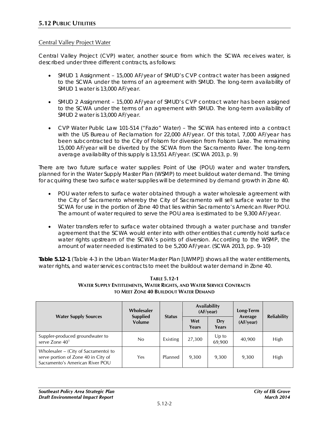## Central Valley Project Water

Central Valley Project (CVP) water, another source from which the SCWA receives water, is described under three different contracts, as follows:

- SMUD 1 Assignment 15,000 AF/year of SMUD's CVP contract water has been assigned to the SCWA under the terms of an agreement with SMUD. The long-term availability of SMUD 1 water is 13,000 AF/year.
- SMUD 2 Assignment 15,000 AF/year of SMUD's CVP contract water has been assigned to the SCWA under the terms of an agreement with SMUD. The long-term availability of SMUD 2 water is 13,000 AF/year.
- CVP Water Public Law 101-514 ("Fazio" Water) The SCWA has entered into a contract with the US Bureau of Reclamation for 22,000 AF/year. Of this total, 7,000 AF/year has been subcontracted to the City of Folsom for diversion from Folsom Lake. The remaining 15,000 AF/year will be diverted by the SCWA from the Sacramento River. The long-term average availability of this supply is 13,551 AF/year. (SCWA 2013, p. 9)

There are two future surface water supplies: Point of Use (POU) water and water transfers, planned for in the Water Supply Master Plan (WSMP) to meet buildout water demand. The timing for acquiring these two surface water supplies will be determined by demand growth in Zone 40.

- POU water refers to surface water obtained through a water wholesale agreement with the City of Sacramento whereby the City of Sacramento will sell surface water to the SCWA for use in the portion of Zone 40 that lies within Sacramento's American River POU. The amount of water required to serve the POU area is estimated to be 9,300 AF/year.
- Water transfers refer to surface water obtained through a water purchase and transfer agreement that the SCWA would enter into with other entities that currently hold surface water rights upstream of the SCWA's points of diversion. According to the WSMP, the amount of water needed is estimated to be 5,200 AF/year. (SCWA 2013, pp. 9–10)

**Table 5.12-1** (Table 4-3 in the Urban Water Master Plan [UWMP]) shows all the water entitlements, water rights, and water services contracts to meet the buildout water demand in Zone 40.

#### **TABLE 5.12-1 WATER SUPPLY ENTITLEMENTS, WATER RIGHTS, AND WATER SERVICE CONTRACTS TO MEET ZONE 40 BUILDOUT WATER DEMAND**

|                                                                                                                | Wholesaler                | <b>Status</b> | Availability<br>(AF/year) |                 | Long-Term            | <b>Reliability</b> |  |
|----------------------------------------------------------------------------------------------------------------|---------------------------|---------------|---------------------------|-----------------|----------------------|--------------------|--|
| <b>Water Supply Sources</b>                                                                                    | <b>Supplied</b><br>Volume |               | Wet<br>Years              | Dry<br>Years    | Average<br>(AF/year) |                    |  |
| Suppler-produced groundwater to<br>serve Zone 40 <sup>1</sup>                                                  | No                        | Existing      | 27,300                    | Up to<br>69,900 | 40,900               | High               |  |
| Wholesaler – (City of Sacramento) to<br>serve portion of Zone 40 in City of<br>Sacramento's American River POU | Yes                       | Planned       | 9,300                     | 9,300           | 9,300                | High               |  |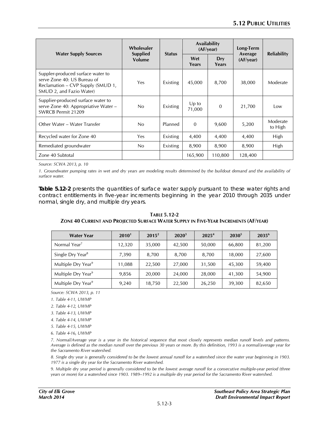|                                                                                                                                   | Wholesaler                |               | Availability<br>(AF/year) |              | Long-Term            |                     |  |
|-----------------------------------------------------------------------------------------------------------------------------------|---------------------------|---------------|---------------------------|--------------|----------------------|---------------------|--|
| <b>Water Supply Sources</b>                                                                                                       | <b>Supplied</b><br>Volume | <b>Status</b> | Wet<br>Years              | Dry<br>Years | Average<br>(AF/year) | <b>Reliability</b>  |  |
| Suppler-produced surface water to<br>serve Zone 40: US Bureau of<br>Reclamation – CVP Supply (SMUD 1,<br>SMUD 2, and Fazio Water) | Yes                       | Existing      | 45,000                    | 8,700        | 38,000               | Moderate            |  |
| Supplier-produced surface water to<br>serve Zone 40: Appropriative Water -<br>SWRCB Permit 21209                                  | No                        | Existing      | $Up$ to<br>71,000         | $\mathbf{0}$ | 21,700               | Low                 |  |
| Other Water – Water Transfer                                                                                                      | No                        | Planned       | $\Omega$                  | 9,600        | 5,200                | Moderate<br>to High |  |
| Recycled water for Zone 40                                                                                                        | Yes                       | Existing      | 4,400                     | 4,400        | 4,400                | High                |  |
| Remediated groundwater                                                                                                            | No                        | Existing      | 8,900                     | 8,900        | 8,900                | High                |  |
| Zone 40 Subtotal                                                                                                                  |                           |               | 165,900                   | 110,800      | 128,400              |                     |  |

*Source: SCWA 2013, p. 10*

*1. Groundwater pumping rates in wet and dry years are modeling results determined by the buildout demand and the availability of surface water.*

**Table 5.12-2** presents the quantities of surface water supply pursuant to these water rights and contract entitlements in five-year increments beginning in the year 2010 through 2035 under normal, single dry, and multiple dry years.

| <b>Water Year</b>              | 2010 <sup>1</sup> | $2015^2$ | $2020^3$ | 2025 <sup>4</sup> | $2030^5$ | $2035^6$ |
|--------------------------------|-------------------|----------|----------|-------------------|----------|----------|
| Normal Year <sup>7</sup>       | 12,320            | 35,000   | 42,500   | 50,000            | 66,800   | 81,200   |
| Single Dry Year <sup>8</sup>   | 7,390             | 8,700    | 8,700    | 8,700             | 18,000   | 27,600   |
| Multiple Dry Year <sup>9</sup> | 11,088            | 22,500   | 27,000   | 31,500            | 45,300   | 59,400   |
| Multiple Dry Year <sup>9</sup> | 9,856             | 20,000   | 24,000   | 28,000            | 41,300   | 54,900   |
| Multiple Dry Year <sup>9</sup> | 9,240             | 18,750   | 22,500   | 26,250            | 39,300   | 82,650   |

**TABLE 5.12-2 ZONE 40 CURRENT AND PROJECTED SURFACE WATER SUPPLY IN FIVE-YEAR INCREMENTS (AF/YEAR)**

*Source: SCWA 2013, p. 11*

*1. Table 4-11, UWMP*

*2. Table 4-12, UWMP*

*3. Table 4-13, UWMP*

*4. Table 4-14, UWMP*

*5. Table 4-15, UWMP*

*6. Table 4-16, UWMP*

*7. Normal/Average year is a year in the historical sequence that most closely represents median runoff levels and patterns. Average is defined as the median runoff over the previous 30 years or more. By this definition, 1993 is a normal/average year for the Sacramento River watershed.*

*8. Single dry year is generally considered to be the lowest annual runoff for a watershed since the water year beginning in 1903. 1977 is a single dry year for the Sacramento River watershed.*

*9. Multiple dry year period is generally considered to be the lowest average runoff for a consecutive multiple-year period (three years or more) for a watershed since 1903. 1989–1992 is a multiple dry year period for the Sacramento River watershed.*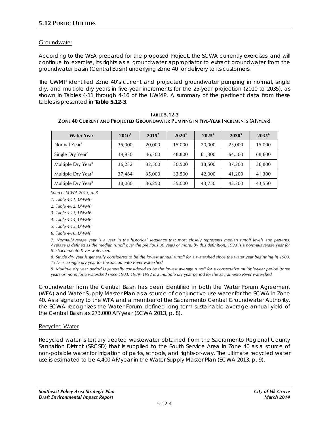## **Groundwater**

According to the WSA prepared for the proposed Project, the SCWA currently exercises, and will continue to exercise, its rights as a groundwater appropriator to extract groundwater from the groundwater basin (Central Basin) underlying Zone 40 for delivery to its customers.

The UWMP identified Zone 40's current and projected groundwater pumping in normal, single dry, and multiple dry years in five-year increments for the 25-year projection (2010 to 2035), as shown in Tables 4-11 through 4-16 of the UWMP. A summary of the pertinent data from these tables is presented in **Table 5.12-3**.

**TABLE 5.12-3 ZONE 40 CURRENT AND PROJECTED GROUNDWATER PUMPING IN FIVE-YEAR INCREMENTS (AF/YEAR)**

| <b>Water Year</b>              | 2010 <sup>1</sup> | $2015^2$ | $2020^3$ | 2025 <sup>4</sup> | $2030^5$ | $2035^6$ |
|--------------------------------|-------------------|----------|----------|-------------------|----------|----------|
| Normal Year <sup>7</sup>       | 35,000            | 20,000   | 15,000   | 20,000            | 25,000   | 15,000   |
| Single Dry Year <sup>8</sup>   | 39,930            | 46,300   | 48,800   | 61,300            | 64,500   | 68,600   |
| Multiple Dry Year <sup>9</sup> | 36,232            | 32,500   | 30,500   | 38,500            | 37,200   | 36,800   |
| Multiple Dry Year <sup>9</sup> | 37,464            | 35,000   | 33,500   | 42,000            | 41,200   | 41,300   |
| Multiple Dry Year <sup>9</sup> | 38,080            | 36,250   | 35,000   | 43,750            | 43,200   | 43,550   |

*Source: SCWA 2013, p. 8*

*1. Table 4-11, UWMP*

*2. Table 4-12, UWMP*

*3. Table 4-13, UWMP*

*4. Table 4-14, UWMP*

*5. Table 4-15, UWMP*

*6. Table 4-16, UWMP*

*7. Normal/Average year is a year in the historical sequence that most closely represents median runoff levels and patterns. Average is defined as the median runoff over the previous 30 years or more. By this definition, 1993 is a normal/average year for the Sacramento River watershed.*

*8. Single dry year is generally considered to be the lowest annual runoff for a watershed since the water year beginning in 1903. 1977 is a single dry year for the Sacramento River watershed.*

*9. Multiple dry year period is generally considered to be the lowest average runoff for a consecutive multiple-year period (three years or more) for a watershed since 1903. 1989–1992 is a multiple dry year period for the Sacramento River watershed.*

Groundwater from the Central Basin has been identified in both the Water Forum Agreement (WFA) and Water Supply Master Plan as a source of conjunctive use water for the SCWA in Zone 40. As a signatory to the WFA and a member of the Sacramento Central Groundwater Authority, the SCWA recognizes the Water Forum–defined long-term sustainable average annual yield of the Central Basin as 273,000 AF/year (SCWA 2013, p. 8).

### Recycled Water

Recycled water is tertiary treated wastewater obtained from the Sacramento Regional County Sanitation District (SRCSD) that is supplied to the South Service Area in Zone 40 as a source of non-potable water for irrigation of parks, schools, and rights-of-way. The ultimate recycled water use is estimated to be 4,400 AF/year in the Water Supply Master Plan (SCWA 2013, p. 9).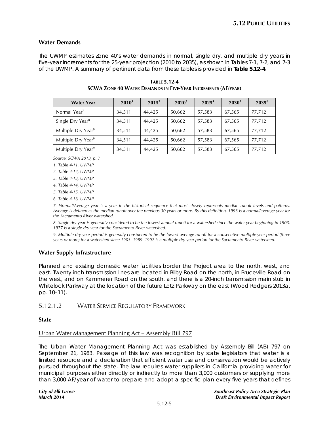## **Water Demands**

The UWMP estimates Zone 40's water demands in normal, single dry, and multiple dry years in five-year increments for the 25-year projection (2010 to 2035), as shown in Tables 7-1, 7-2, and 7-3 of the UWMP. A summary of pertinent data from these tables is provided in **Table 5.12-4**.

| <b>Water Year</b>              | 2010 <sup>1</sup> | $2015^2$ | $2020^3$ | 2025 <sup>4</sup> | $2030^5$ | 2035 <sup>6</sup> |
|--------------------------------|-------------------|----------|----------|-------------------|----------|-------------------|
| Normal Year <sup>7</sup>       | 34,511            | 44,425   | 50,662   | 57,583            | 67,565   | 77,712            |
| Single Dry Year <sup>8</sup>   | 34,511            | 44,425   | 50,662   | 57,583            | 67,565   | 77,712            |
| Multiple Dry Year <sup>9</sup> | 34,511            | 44,425   | 50,662   | 57,583            | 67,565   | 77,712            |
| Multiple Dry Year <sup>9</sup> | 34,511            | 44,425   | 50,662   | 57,583            | 67,565   | 77,712            |
| Multiple Dry Year <sup>9</sup> | 34,511            | 44,425   | 50,662   | 57,583            | 67,565   | 77,712            |

**TABLE 5.12-4 SCWA ZONE 40 WATER DEMANDS IN FIVE-YEAR INCREMENTS (AF/YEAR)**

*Source: SCWA 2013, p. 7*

*1. Table 4-11, UWMP*

*2. Table 4-12, UWMP*

*3. Table 4-13, UWMP*

*4. Table 4-14, UWMP*

*5. Table 4-15, UWMP*

*6. Table 4-16, UWMP*

*7. Normal/Average year is a year in the historical sequence that most closely represents median runoff levels and patterns. Average is defined as the median runoff over the previous 30 years or more. By this definition, 1993 is a normal/average year for the Sacramento River watershed.*

*8. Single dry year is generally considered to be the lowest annual runoff for a watershed since the water year beginning in 1903. 1977 is a single dry year for the Sacramento River watershed.*

*9. Multiple dry year period is generally considered to be the lowest average runoff for a consecutive multiple-year period (three years or more) for a watershed since 1903. 1989–1992 is a multiple dry year period for the Sacramento River watershed.*

# **Water Supply Infrastructure**

Planned and existing domestic water facilities border the Project area to the north, west, and east. Twenty-inch transmission lines are located in Bilby Road on the north, in Bruceville Road on the west, and on Kammerer Road on the south, and there is a 20-inch transmission main stub in Whitelock Parkway at the location of the future Lotz Parkway on the east (Wood Rodgers 2013a, pp. 10–11).

# 5.12.1.2 WATER SERVICE REGULATORY FRAMEWORK

### **State**

# Urban Water Management Planning Act – Assembly Bill 797

The Urban Water Management Planning Act was established by Assembly Bill (AB) 797 on September 21, 1983. Passage of this law was recognition by state legislators that water is a limited resource and a declaration that efficient water use and conservation would be actively pursued throughout the state. The law requires water suppliers in California providing water for municipal purposes either directly or indirectly to more than 3,000 customers or supplying more than 3,000 AF/year of water to prepare and adopt a specific plan every five years that defines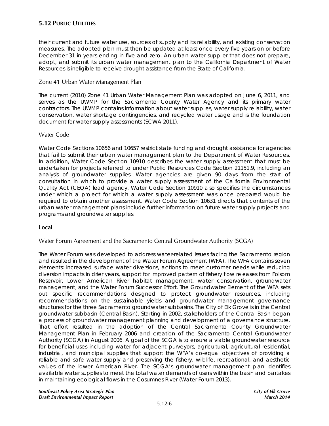their current and future water use, sources of supply and its reliability, and existing conservation measures. The adopted plan must then be updated at least once every five years on or before December 31 in years ending in five and zero. An urban water supplier that does not prepare, adopt, and submit its urban water management plan to the California Department of Water Resources is ineligible to receive drought assistance from the State of California.

## Zone 41 Urban Water Management Plan

The current (2010) Zone 41 Urban Water Management Plan was adopted on June 6, 2011, and serves as the UWMP for the Sacramento County Water Agency and its primary water contractors. The UWMP contains information about water supplies, water supply reliability, water conservation, water shortage contingencies, and recycled water usage and is the foundation document for water supply assessments (SCWA 2011).

## Water Code

Water Code Sections 10656 and 10657 restrict state funding and drought assistance for agencies that fail to submit their urban water management plan to the Department of Water Resources. In addition, Water Code Section 10910 describes the water supply assessment that must be undertaken for projects referred to under Public Resources Code Section 21151.9, including an analysis of groundwater supplies. Water agencies are given 90 days from the start of consultation in which to provide a water supply assessment of the California Environmental Quality Act (CEQA) lead agency. Water Code Section 10910 also specifies the circumstances under which a project for which a water supply assessment was once prepared would be required to obtain another assessment. Water Code Section 10631 directs that contents of the urban water management plans include further information on future water supply projects and programs and groundwater supplies.

### **Local**

# Water Forum Agreement and the Sacramento Central Groundwater Authority (SCGA)

The Water Forum was developed to address water-related issues facing the Sacramento region and resulted in the development of the Water Forum Agreement (WFA). The WFA contains seven elements: increased surface water diversions, actions to meet customer needs while reducing diversion impacts in drier years, support for improved pattern of fishery flow releases from Folsom Reservoir, Lower American River habitat management, water conservation, groundwater management, and the Water Forum Successor Effort. The Groundwater Element of the WFA sets out specific recommendations designed to protect groundwater resources, including recommendations on the sustainable yields and groundwater management governance structures for the three Sacramento groundwater subbasins. The City of Elk Grove is in the Central groundwater subbasin (Central Basin). Starting in 2002, stakeholders of the Central Basin began a process of groundwater management planning and development of a governance structure. That effort resulted in the adoption of the Central Sacramento County Groundwater Management Plan in February 2006 and creation of the Sacramento Central Groundwater Authority (SCGA) in August 2006. A goal of the SCGA is to ensure a viable groundwater resource for beneficial uses including water for adjacent purveyors, agricultural, agricultural residential, industrial, and municipal supplies that support the WFA's co-equal objectives of providing a reliable and safe water supply and preserving the fishery, wildlife, recreational, and aesthetic values of the lower American River. The SCGA's groundwater management plan identifies available water supplies to meet the total water demands of users within the basin and partakes in maintaining ecological flows in the Cosumnes River (Water Forum 2013).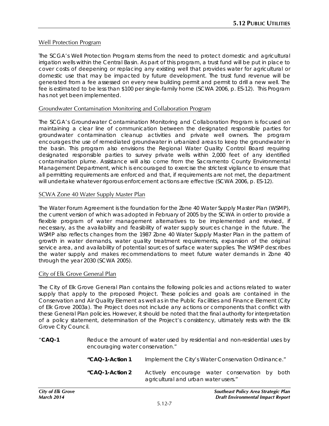### Well Protection Program

The SCGA's Well Protection Program stems from the need to protect domestic and agricultural irrigation wells within the Central Basin. As part of this program, a trust fund will be put in place to cover costs of deepening or replacing any existing well that provides water for agricultural or domestic use that may be impacted by future development. The trust fund revenue will be generated from a fee assessed on every new building permit and permit to drill a new well. The fee is estimated to be less than \$100 per single-family home (SCWA 2006, p. ES-12). This Program has not yet been implemented.

#### Groundwater Contamination Monitoring and Collaboration Program

The SCGA's Groundwater Contamination Monitoring and Collaboration Program is focused on maintaining a clear line of communication between the designated responsible parties for groundwater contamination cleanup activities and private well owners. The program encourages the use of remediated groundwater in urbanized areas to keep the groundwater in the basin. This program also envisions the Regional Water Quality Control Board requiring designated responsible parties to survey private wells within 2,000 feet of any identified contamination plume. Assistance will also come from the Sacramento County Environmental Management Department, which is encouraged to exercise the strictest vigilance to ensure that all permitting requirements are enforced and that, if requirements are not met, the department will undertake whatever rigorous enforcement actions are effective (SCWA 2006, p. ES-12).

#### SCWA Zone 40 Water Supply Master Plan

The Water Forum Agreement is the foundation for the Zone 40 Water Supply Master Plan (WSMP), the current version of which was adopted in February of 2005 by the SCWA in order to provide a flexible program of water management alternatives to be implemented and revised, if necessary, as the availability and feasibility of water supply sources change in the future. The WSMP also reflects changes from the 1987 Zone 40 Water Supply Master Plan in the pattern of growth in water demands, water quality treatment requirements, expansion of the original service area, and availability of potential sources of surface water supplies. The WSMP describes the water supply and makes recommendations to meet future water demands in Zone 40 through the year 2030 (SCWA 2005).

#### City of Elk Grove General Plan

The City of Elk Grove General Plan contains the following policies and actions related to water supply that apply to the proposed Project. These policies and goals are contained in the Conservation and Air Quality Element as well as in the Public Facilities and Finance Element (City of Elk Grove 2003a). The Project does not include any actions or components that conflict with these General Plan policies. However, it should be noted that the final authority for interpretation of a policy statement, determination of the Project's consistency, ultimately rests with the Elk Grove City Council.

"**CAQ-1** Reduce the amount of water used by residential and non-residential uses by encouraging water conservation."

| "CAQ-1-Action 1 |                                      | Implement the City's Water Conservation Ordinance." |  |
|-----------------|--------------------------------------|-----------------------------------------------------|--|
| "CAQ-1-Action 2 | agricultural and urban water users." | Actively encourage water conservation by both       |  |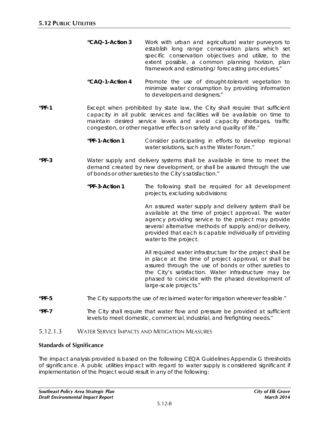- *"CAQ-1-Action 3 Work with urban and agricultural water purveyors to establish long range conservation plans which set specific conservation objectives and utilize, to the extent possible, a common planning horizon, plan framework and estimating/ forecasting procedures."*
- *"CAQ-1-Action 4 Promote the use of drought-tolerant vegetation to minimize water consumption by providing information to developers and designers."*
- **"PF-1** Except when prohibited by state law, the City shall require that sufficient capacity in all public services and facilities will be available on time to maintain desired service levels and avoid capacity shortages, traffic congestion, or other negative effects on safety and quality of life."
	- *"PF-1-Action 1 Consider participating in efforts to develop regional water solutions, such as the Water Forum."*
- **"PF-3** Water supply and delivery systems shall be available in time to meet the demand created by new development, or shall be assured through the use of bonds or other sureties to the City's satisfaction."
	- *"PF-3-Action 1 The following shall be required for all development projects, excluding subdivisions:*

*An assured water supply and delivery system shall be available at the time of project approval. The water agency providing service to the project may provide several alternative methods of supply and/or delivery, provided that each is capable individually of providing water to the project.*

*All required water infrastructure for the project shall be in place at the time of project approval, or shall be assured through the use of bonds or other sureties to the City's satisfaction. Water infrastructure may be phased to coincide with the phased development of large-scale projects."*

- **"PF-5** The City supports the use of reclaimed water for irrigation wherever feasible."
- **"PF-7** The City shall require that water flow and pressure be provided at sufficient levels to meet domestic, commercial, industrial, and firefighting needs."

## 5.12.1.3 WATER SERVICE IMPACTS AND MITIGATION MEASURES

### **Standards of Significance**

The impact analysis provided is based on the following CEQA Guidelines Appendix G thresholds of significance. A public utilities impact with regard to water supply is considered significant if implementation of the Project would result in any of the following: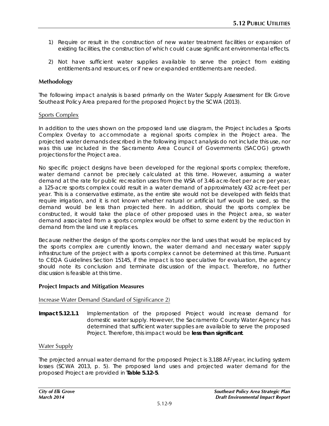- 1) Require or result in the construction of new water treatment facilities or expansion of existing facilities, the construction of which could cause significant environmental effects.
- 2) Not have sufficient water supplies available to serve the project from existing entitlements and resources, or if new or expanded entitlements are needed.

## **Methodology**

The following impact analysis is based primarily on the Water Supply Assessment for Elk Grove Southeast Policy Area prepared for the proposed Project by the SCWA (2013).

#### Sports Complex

In addition to the uses shown on the proposed land use diagram, the Project includes a Sports Complex Overlay to accommodate a regional sports complex in the Project area. The projected water demands described in the following impact analysis do not include this use, nor was this use included in the Sacramento Area Council of Governments (SACOG) growth projections for the Project area.

No specific project designs have been developed for the regional sports complex; therefore, water demand cannot be precisely calculated at this time. However, assuming a water demand at the rate for public recreation uses from the WSA of 3.46 acre-feet per acre per year, a 125-acre sports complex could result in a water demand of approximately 432 acre-feet per year. This is a conservative estimate, as the entire site would not be developed with fields that require irrigation, and it is not known whether natural or artificial turf would be used, so the demand would be less than projected here. In addition, should the sports complex be constructed, it would take the place of other proposed uses in the Project area, so water demand associated from a sports complex would be offset to some extent by the reduction in demand from the land use it replaces.

Because neither the design of the sports complex nor the land uses that would be replaced by the sports complex are currently known, the water demand and necessary water supply infrastructure of the project with a sports complex cannot be determined at this time. Pursuant to CEQA Guidelines Section 15145, if the impact is too speculative for evaluation, the agency should note its conclusion and terminate discussion of the impact. Therefore, no further discussion is feasible at this time.

#### **Project Impacts and Mitigation Measures**

### Increase Water Demand (Standard of Significance 2)

**Impact 5.12.1.1** Implementation of the proposed Project would increase demand for domestic water supply. However, the Sacramento County Water Agency has determined that sufficient water supplies are available to serve the proposed Project. Therefore, this impact would be **less than significant**.

### Water Supply

The projected annual water demand for the proposed Project is 3,188 AF/year, including system losses (SCWA 2013, p. 5). The proposed land uses and projected water demand for the proposed Project are provided in **Table 5.12-5**.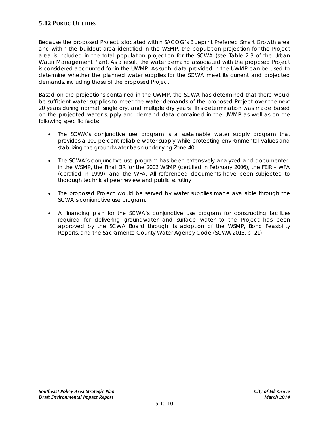Because the proposed Project is located within SACOG's Blueprint Preferred Smart Growth area and within the buildout area identified in the WSMP, the population projection for the Project area is included in the total population projection for the SCWA (see Table 2-3 of the Urban Water Management Plan). As a result, the water demand associated with the proposed Project is considered accounted for in the UWMP. As such, data provided in the UWMP can be used to determine whether the planned water supplies for the SCWA meet its current and projected demands, including those of the proposed Project.

Based on the projections contained in the UWMP, the SCWA has determined that there would be sufficient water supplies to meet the water demands of the proposed Project over the next 20 years during normal, single dry, and multiple dry years. This determination was made based on the projected water supply and demand data contained in the UWMP as well as on the following specific facts:

- The SCWA's conjunctive use program is a sustainable water supply program that provides a 100 percent reliable water supply while protecting environmental values and stabilizing the groundwater basin underlying Zone 40.
- The SCWA's conjunctive use program has been extensively analyzed and documented in the WSMP, the Final EIR for the 2002 WSMP (certified in February 2006), the FEIR – WFA (certified in 1999), and the WFA. All referenced documents have been subjected to thorough technical peer review and public scrutiny.
- The proposed Project would be served by water supplies made available through the SCWA's conjunctive use program.
- A financing plan for the SCWA's conjunctive use program for constructing facilities required for delivering groundwater and surface water to the Project has been approved by the SCWA Board through its adoption of the WSMP, Bond Feasibility Reports, and the Sacramento County Water Agency Code (SCWA 2013, p. 21).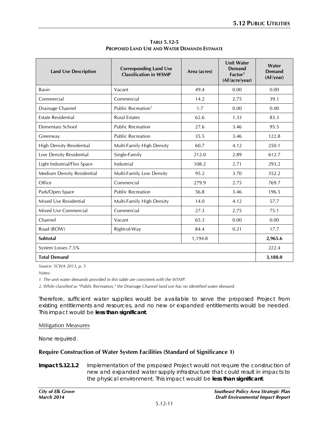| <b>Land Use Description</b>     | <b>Corresponding Land Use</b><br><b>Classification in WSMP</b> | Area (acres) | <b>Unit Water</b><br>Demand<br>Factor <sup>1</sup><br>(AF/acre/year) | Water<br><b>Demand</b><br>(AF/year) |  |  |
|---------------------------------|----------------------------------------------------------------|--------------|----------------------------------------------------------------------|-------------------------------------|--|--|
| <b>Basin</b>                    | Vacant                                                         | 49.4         | 0.00                                                                 | 0.00                                |  |  |
| Commercial                      | Commercial                                                     | 14.2         | 2.75                                                                 | 39.1                                |  |  |
| Drainage Channel                | Public Recreation <sup>2</sup>                                 | 1.7          | 0.00                                                                 | 0.00                                |  |  |
| <b>Estate Residential</b>       | <b>Rural Estates</b>                                           | 62.6         | 1.33                                                                 | 83.3                                |  |  |
| <b>Elementary School</b>        | <b>Public Recreation</b>                                       | 27.6         | 3.46                                                                 | 95.5                                |  |  |
| Greenway                        | <b>Public Recreation</b>                                       | 35.5         | 3.46                                                                 | 122.8                               |  |  |
| <b>High Density Residential</b> | Multi-Family High Density                                      | 60.7         | 4.12                                                                 | 250.1                               |  |  |
| Low Density Residential         | Single-Family                                                  | 212.0        | 2.89                                                                 | 612.7                               |  |  |
| Light Industrial/Flex Space     | Industrial                                                     | 108.2        | 2.71                                                                 | 293.2                               |  |  |
| Medium Density Residential      | Multi-Family Low Density                                       | 95.2         | 3.70                                                                 | 352.2                               |  |  |
| Office                          | Commercial                                                     | 279.9        | 2.75                                                                 | 769.7                               |  |  |
| Park/Open Space                 | <b>Public Recreation</b>                                       | 56.8         | 3.46                                                                 | 196.5                               |  |  |
| Mixed Use Residential           | Multi-Family High Density                                      | 14.0         | 4.12                                                                 | 57.7                                |  |  |
| Mixed Use Commercial            | Commercial                                                     | 27.3         | 2.75                                                                 | 75.1                                |  |  |
| Channel                         | Vacant                                                         | 65.3         | 0.00                                                                 | 0.00                                |  |  |
| Road (ROW)                      | Right-of-Way                                                   | 84.4         | 0.21                                                                 | 17.7                                |  |  |
| Subtotal<br>1,194.8             |                                                                |              |                                                                      |                                     |  |  |
| System Losses 7.5%              |                                                                |              |                                                                      |                                     |  |  |
| <b>Total Demand</b>             |                                                                |              |                                                                      |                                     |  |  |

**TABLE 5.12-5 PROPOSED LAND USE AND WATER DEMANDS ESTIMATE**

*Source: SCWA 2013, p. 5*

*Notes:*

*1. The unit water demands provided in this table are consistent with the WSMP.*

*2. While classified as "Public Recreation," the Drainage Channel land use has no identified water demand.*

Therefore, sufficient water supplies would be available to serve the proposed Project from existing entitlements and resources, and no new or expanded entitlements would be needed. This impact would be **less than significant**.

#### Mitigation Measures

None required.

### **Require Construction of Water System Facilities (Standard of Significance 1)**

**Impact 5.12.1.2** Implementation of the proposed Project would not require the construction of new and expanded water supply infrastructure that could result in impacts to the physical environment. This impact would be **less than significant**.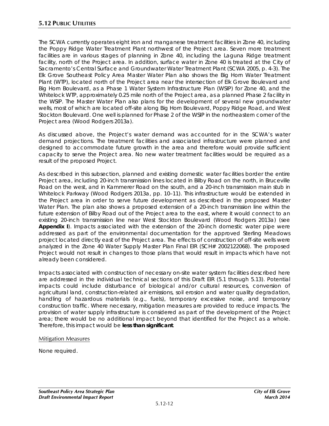The SCWA currently operates eight iron and manganese treatment facilities in Zone 40, including the Poppy Ridge Water Treatment Plant northwest of the Project area. Seven more treatment facilities are in various stages of planning in Zone 40, including the Laguna Ridge treatment facility, north of the Project area. In addition, surface water in Zone 40 is treated at the City of Sacramento's Central Surface and Groundwater Water Treatment Plant (SCWA 2005, p. 4-3). The Elk Grove Southeast Policy Area Master Water Plan also shows the Big Horn Water Treatment Plant (WTP), located north of the Project area near the intersection of Elk Grove Boulevard and Big Horn Boulevard, as a Phase 1 Water System Infrastructure Plan (WSIP) for Zone 40, and the Whitelock WTP, approximately 0.25 mile north of the Project area, as a planned Phase 2 facility in the WSIP. The Master Water Plan also plans for the development of several new groundwater wells, most of which are located off-site along Big Horn Boulevard, Poppy Ridge Road, and West Stockton Boulevard. One well is planned for Phase 2 of the WSIP in the northeastern corner of the Project area (Wood Rodgers 2013a).

As discussed above, the Project's water demand was accounted for in the SCWA's water demand projections. The treatment facilities and associated infrastructure were planned and designed to accommodate future growth in the area and therefore would provide sufficient capacity to serve the Project area. No new water treatment facilities would be required as a result of the proposed Project.

As described in this subsection, planned and existing domestic water facilities border the entire Project area, including 20-inch transmission lines located in Bilby Road on the north, in Bruceville Road on the west, and in Kammerer Road on the south, and a 20-inch transmission main stub in Whitelock Parkway (Wood Rodgers 2013a, pp. 10–11). This infrastructure would be extended in the Project area in order to serve future development as described in the proposed Master Water Plan*.* The plan also shows a proposed extension of a 20-inch transmission line within the future extension of Bilby Road out of the Project area to the east, where it would connect to an existing 20-inch transmission line near West Stockton Boulevard (Wood Rodgers 2013a) (see **Appendix I**). Impacts associated with the extension of the 20-inch domestic water pipe were addressed as part of the environmental documentation for the approved Sterling Meadows project located directly east of the Project area. The effects of construction of off-site wells were analyzed in the Zone 40 Water Supply Master Plan Final EIR (SCH# 2002122068). The proposed Project would not result in changes to those plans that would result in impacts which have not already been considered.

Impacts associated with construction of necessary on-site water system facilities described here are addressed in the individual technical sections of this Draft EIR (5.1 through 5.13). Potential impacts could include disturbance of biological and/or cultural resources, conversion of agricultural land, construction-related air emissions, soil erosion and water quality degradation, handling of hazardous materials (e.g., fuels), temporary excessive noise, and temporary construction traffic. Where necessary, mitigation measures are provided to reduce impacts. The provision of water supply infrastructure is considered as part of the development of the Project area; there would be no additional impact beyond that identified for the Project as a whole. Therefore, this impact would be **less than significant**.

### Mitigation Measures

None required.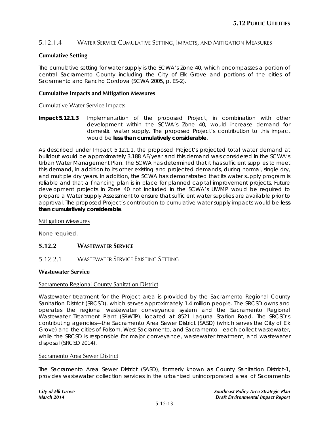# 5.12.1.4 WATER SERVICE CUMULATIVE SETTING, IMPACTS, AND MITIGATION MEASURES

## **Cumulative Setting**

The cumulative setting for water supply is the SCWA's Zone 40, which encompasses a portion of central Sacramento County including the City of Elk Grove and portions of the cities of Sacramento and Rancho Cordova (SCWA 2005, p. ES-2).

#### **Cumulative Impacts and Mitigation Measures**

#### Cumulative Water Service Impacts

**Impact 5.12.1.3** Implementation of the proposed Project, in combination with other development within the SCWA's Zone 40, would increase demand for domestic water supply. The proposed Project's contribution to this impact would be **less than cumulatively considerable**.

As described under Impact 5.12.1.1, the proposed Project's projected total water demand at buildout would be approximately 3,188 AF/year and this demand was considered in the SCWA's Urban Water Management Plan. The SCWA has determined that it has sufficient supplies to meet this demand, in addition to its other existing and projected demands, during normal, single dry, and multiple dry years. In addition, the SCWA has demonstrated that its water supply program is reliable and that a financing plan is in place for planned capital improvement projects. Future development projects in Zone 40 not included in the SCWA's UWMP would be required to prepare a Water Supply Assessment to ensure that sufficient water supplies are available prior to approval. The proposed Project's contribution to cumulative water supply impacts would be **less than cumulatively considerable**.

#### Mitigation Measures

None required.

# **5.12.2 WASTEWATER SERVICE**

### 5.12.2.1 WASTEWATER SERVICE EXISTING SETTING

### **Wastewater Service**

#### Sacramento Regional County Sanitation District

Wastewater treatment for the Project area is provided by the Sacramento Regional County Sanitation District (SRCSD), which serves approximately 1.4 million people. The SRCSD owns and operates the regional wastewater conveyance system and the Sacramento Regional Wastewater Treatment Plant (SRWTP), located at 8521 Laguna Station Road. The SRCSD's contributing agencies—the Sacramento Area Sewer District (SASD) (which serves the City of Elk Grove) and the cities of Folsom, West Sacramento, and Sacramento—each collect wastewater, while the SRCSD is responsible for major conveyance, wastewater treatment, and wastewater disposal (SRCSD 2014).

#### Sacramento Area Sewer District

The Sacramento Area Sewer District (SASD), formerly known as County Sanitation District-1, provides wastewater collection services in the urbanized unincorporated area of Sacramento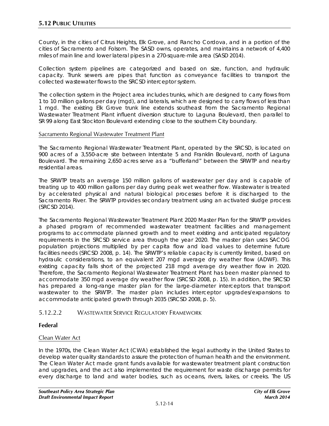County, in the cities of Citrus Heights, Elk Grove, and Rancho Cordova, and in a portion of the cities of Sacramento and Folsom. The SASD owns, operates, and maintains a network of 4,400 miles of main line and lower lateral pipes in a 270-square-mile area (SASD 2014).

Collection system pipelines are categorized and based on size, function, and hydraulic capacity. Trunk sewers are pipes that function as conveyance facilities to transport the collected wastewater flows to the SRCSD interceptor system.

The collection system in the Project area includes trunks, which are designed to carry flows from 1 to 10 million gallons per day (mgd), and laterals, which are designed to carry flows of less than 1 mgd. The existing Elk Grove trunk line extends southeast from the Sacramento Regional Wastewater Treatment Plant influent diversion structure to Laguna Boulevard, then parallel to SR 99 along East Stockton Boulevard extending close to the southern City boundary.

### Sacramento Regional Wastewater Treatment Plant

The Sacramento Regional Wastewater Treatment Plant, operated by the SRCSD, is located on 900 acres of a 3,550-acre site between Interstate 5 and Franklin Boulevard, north of Laguna Boulevard. The remaining 2,650 acres serve as a "bufferland" between the SRWTP and nearby residential areas.

The SRWTP treats an average 150 million gallons of wastewater per day and is capable of treating up to 400 million gallons per day during peak wet weather flow. Wastewater is treated by accelerated physical and natural biological processes before it is discharged to the Sacramento River. The SRWTP provides secondary treatment using an activated sludge process (SRCSD 2014).

The Sacramento Regional Wastewater Treatment Plant 2020 Master Plan for the SRWTP provides a phased program of recommended wastewater treatment facilities and management programs to accommodate planned growth and to meet existing and anticipated regulatory requirements in the SRCSD service area through the year 2020. The master plan uses SACOG population projections multiplied by per capita flow and load values to determine future facilities needs (SRCSD 2008, p. 14). The SRWTP's reliable capacity is currently limited, based on hydraulic considerations, to an equivalent 207 mgd average dry weather flow (ADWF). This existing capacity falls short of the projected 218 mgd average dry weather flow in 2020. Therefore, the Sacramento Regional Wastewater Treatment Plant has been master planned to accommodate 350 mgd average dry weather flow (SRCSD 2008, p. 15). In addition, the SRCSD has prepared a long-range master plan for the large-diameter interceptors that transport wastewater to the SRWTP. The master plan includes interceptor upgrades/expansions to accommodate anticipated growth through 2035 (SRCSD 2008, p. 5).

# 5.12.2.2 WASTEWATER SERVICE REGULATORY FRAMEWORK

# **Federal**

# Clean Water Act

In the 1970s, the Clean Water Act (CWA) established the legal authority in the United States to develop water quality standards to assure the protection of human health and the environment. The Clean Water Act made grant funds available for wastewater treatment plant construction and upgrades, and the act also implemented the requirement for waste discharge permits for every discharge to land and water bodies, such as oceans, rivers, lakes, or creeks. The US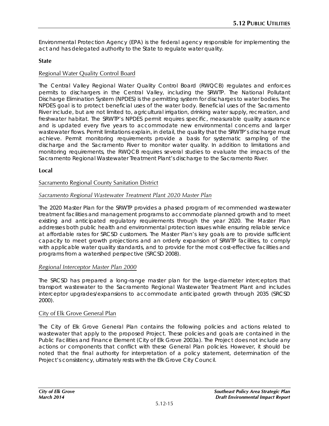Environmental Protection Agency (EPA) is the federal agency responsible for implementing the act and has delegated authority to the State to regulate water quality.

## **State**

## Regional Water Quality Control Board

The Central Valley Regional Water Quality Control Board (RWQCB) regulates and enforces permits to dischargers in the Central Valley, including the SRWTP. The National Pollutant Discharge Elimination System (NPDES) is the permitting system for discharges to water bodies. The NPDES goal is to protect beneficial uses of the water body. Beneficial uses of the Sacramento River include, but are not limited to, agricultural irrigation, drinking water supply, recreation, and freshwater habitat. The SRWTP's NPDES permit requires specific, measurable quality assurance and is updated every five years to accommodate new environmental concerns and larger wastewater flows. Permit limitations explain, in detail, the quality that the SRWTP's discharge must achieve. Permit monitoring requirements provide a basis for systematic sampling of the discharge and the Sacramento River to monitor water quality. In addition to limitations and monitoring requirements, the RWQCB requires several studies to evaluate the impacts of the Sacramento Regional Wastewater Treatment Plant's discharge to the Sacramento River.

### **Local**

#### Sacramento Regional County Sanitation District

### *Sacramento Regional Wastewater Treatment Plant 2020 Master Plan*

The 2020 Master Plan for the SRWTP provides a phased program of recommended wastewater treatment facilities and management programs to accommodate planned growth and to meet existing and anticipated regulatory requirements through the year 2020. The Master Plan addresses both public health and environmental protection issues while ensuring reliable service at affordable rates for SRCSD customers. The Master Plan's key goals are to provide sufficient capacity to meet growth projections and an orderly expansion of SRWTP facilities, to comply with applicable water quality standards, and to provide for the most cost-effective facilities and programs from a watershed perspective (SRCSD 2008).

### *Regional Interceptor Master Plan 2000*

The SRCSD has prepared a long-range master plan for the large-diameter interceptors that transport wastewater to the Sacramento Regional Wastewater Treatment Plant and includes interceptor upgrades/expansions to accommodate anticipated growth through 2035 (SRCSD 2000).

### City of Elk Grove General Plan

The City of Elk Grove General Plan contains the following policies and actions related to wastewater that apply to the proposed Project. These policies and goals are contained in the Public Facilities and Finance Element (City of Elk Grove 2003a). The Project does not include any actions or components that conflict with these General Plan policies. However, it should be noted that the final authority for interpretation of a policy statement, determination of the Project's consistency, ultimately rests with the Elk Grove City Council.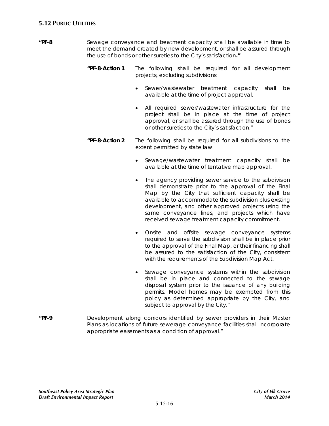- **"PF-8** Sewage conveyance and treatment capacity shall be available in time to meet the demand created by new development, or shall be assured through the use of bonds or other sureties to the City's satisfaction**."**
	- *"PF-8-Action 1 The following shall be required for all development projects, excluding subdivisions:*
		- Sewer/wastewater treatment capacity shall be available at the time of project approval.
		- All required sewer/wastewater infrastructure for the project shall be in place at the time of project approval, or shall be assured through the use of bonds or other sureties to the City's satisfaction."
	- *"PF-8-Action 2 The following shall be required for all subdivisions to the extent permitted by state law:*
		- Sewage/wastewater treatment capacity shall be available at the time of tentative map approval.
		- The agency providing sewer service to the subdivision shall demonstrate prior to the approval of the Final Map by the City that sufficient capacity shall be available to accommodate the subdivision plus existing development, and other approved projects using the same conveyance lines, and projects which have received sewage treatment capacity commitment.
		- Onsite and offsite sewage conveyance systems required to serve the subdivision shall be in place prior to the approval of the Final Map, or their financing shall be assured to the satisfaction of the City, consistent with the requirements of the Subdivision Map Act.
		- Sewage conveyance systems within the subdivision shall be in place and connected to the sewage disposal system prior to the issuance of any building permits. Model homes may be exempted from this policy as determined appropriate by the City, and subject to approval by the City."
- **"PF-9** Development along corridors identified by sewer providers in their Master Plans as locations of future sewerage conveyance facilities shall incorporate appropriate easements as a condition of approval."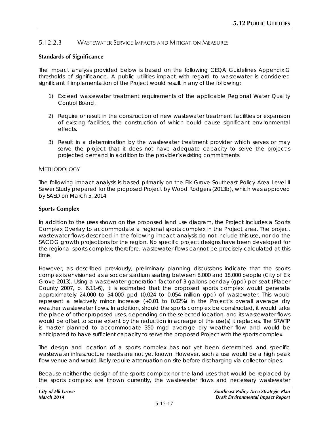# 5.12.2.3 WASTEWATER SERVICE IMPACTS AND MITIGATION MEASURES

## **Standards of Significance**

The impact analysis provided below is based on the following CEQA Guidelines Appendix G thresholds of significance. A public utilities impact with regard to wastewater is considered significant if implementation of the Project would result in any of the following:

- 1) Exceed wastewater treatment requirements of the applicable Regional Water Quality Control Board.
- 2) Require or result in the construction of new wastewater treatment facilities or expansion of existing facilities, the construction of which could cause significant environmental effects.
- 3) Result in a determination by the wastewater treatment provider which serves or may serve the project that it does not have adequate capacity to serve the project's projected demand in addition to the provider's existing commitments.

#### **METHODOLOGY**

The following impact analysis is based primarily on the Elk Grove Southeast Policy Area Level II Sewer Study prepared for the proposed Project by Wood Rodgers (2013b), which was approved by SASD on March 5, 2014.

### **Sports Complex**

In addition to the uses shown on the proposed land use diagram, the Project includes a Sports Complex Overlay to accommodate a regional sports complex in the Project area. The project wastewater flows described in the following impact analysis do not include this use, nor do the SACOG growth projections for the region. No specific project designs have been developed for the regional sports complex; therefore, wastewater flows cannot be precisely calculated at this time.

However, as described previously, preliminary planning discussions indicate that the sports complex is envisioned as a soccer stadium seating between 8,000 and 18,000 people (City of Elk Grove 2013). Using a wastewater generation factor of 3 gallons per day (gpd) per seat (Placer County 2007, p. 6.11-6), it is estimated that the proposed sports complex would generate approximately 24,000 to 54,000 gpd (0.024 to 0.054 million gpd) of wastewater. This would represent a relatively minor increase (+0.01 to 0.02%) in the Project's overall average dry weather wastewater flows. In addition, should the sports complex be constructed, it would take the place of other proposed uses, depending on the selected location, and its wastewater flows would be offset to some extent by the reduction in acreage of the use(s) it replaces. The SRWTP is master planned to accommodate 350 mgd average dry weather flow and would be anticipated to have sufficient capacity to serve the proposed Project with the sports complex.

The design and location of a sports complex has not yet been determined and specific wastewater infrastructure needs are not yet known. However, such a use would be a high peak flow venue and would likely require attenuation on-site before discharging via collector pipes.

Because neither the design of the sports complex nor the land uses that would be replaced by the sports complex are known currently, the wastewater flows and necessary wastewater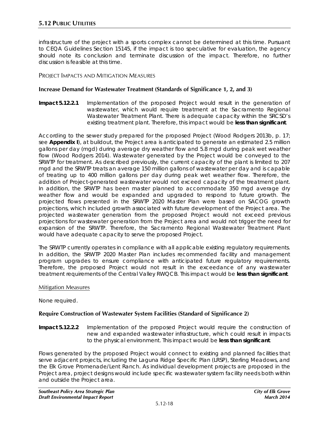infrastructure of the project with a sports complex cannot be determined at this time. Pursuant to CEQA Guidelines Section 15145, if the impact is too speculative for evaluation, the agency should note its conclusion and terminate discussion of the impact. Therefore, no further discussion is feasible at this time.

### PROJECT IMPACTS AND MITIGATION MEASURES

#### **Increase Demand for Wastewater Treatment (Standards of Significance 1, 2, and 3)**

**Impact 5.12.2.1** Implementation of the proposed Project would result in the generation of wastewater, which would require treatment at the Sacramento Regional Wastewater Treatment Plant. There is adequate capacity within the SRCSD's existing treatment plant. Therefore, this impact would be **less than significant**.

According to the sewer study prepared for the proposed Project (Wood Rodgers 2013b, p. 17; see **Appendix I**), at buildout, the Project area is anticipated to generate an estimated 2.5 million gallons per day (mgd) during average dry weather flow and 5.8 mgd during peak wet weather flow (Wood Rodgers 2014). Wastewater generated by the Project would be conveyed to the SRWTP for treatment. As described previously, the current capacity of the plant is limited to 207 mgd and the SRWTP treats an average 150 million gallons of wastewater per day and is capable of treating up to 400 million gallons per day during peak wet weather flow. Therefore, the addition of Project-generated wastewater would not exceed capacity of the treatment plant. In addition, the SRWTP has been master planned to accommodate 350 mgd average dry weather flow and would be expanded and upgraded to respond to future growth. The projected flows presented in the SRWTP 2020 Master Plan were based on SACOG growth projections, which included growth associated with future development of the Project area. The projected wastewater generation from the proposed Project would not exceed previous projections for wastewater generation from the Project area and would not trigger the need for expansion of the SRWTP. Therefore, the Sacramento Regional Wastewater Treatment Plant would have adequate capacity to serve the proposed Project.

The SRWTP currently operates in compliance with all applicable existing regulatory requirements. In addition, the SRWTP 2020 Master Plan includes recommended facility and management program upgrades to ensure compliance with anticipated future regulatory requirements. Therefore, the proposed Project would not result in the exceedance of any wastewater treatment requirements of the Central Valley RWQCB. This impact would be **less than significant**.

#### Mitigation Measures

None required.

### **Require Construction of Wastewater System Facilities (Standard of Significance 2)**

**Impact 5.12.2.2** Implementation of the proposed Project would require the construction of new and expanded wastewater infrastructure, which could result in impacts to the physical environment. This impact would be **less than significant**.

Flows generated by the proposed Project would connect to existing and planned facilities that serve adjacent projects, including the Laguna Ridge Specific Plan (LRSP), Sterling Meadows, and the Elk Grove Promenade/Lent Ranch. As individual development projects are proposed in the Project area, project designs would include specific wastewater system facility needs both within and outside the Project area.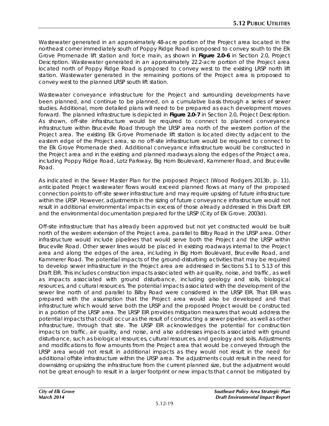Wastewater generated in an approximately 48-acre portion of the Project area located in the northeast corner immediately south of Poppy Ridge Road is proposed to convey south to the Elk Grove Promenade lift station and force main, as shown in **Figure 2.0-6** in Section 2.0, Project Description. Wastewater generated in an approximately 22.2-acre portion of the Project area located north of Poppy Ridge Road is proposed to convey west to the existing LRSP north lift station. Wastewater generated in the remaining portions of the Project area is proposed to convey west to the planned LRSP south lift station.

Wastewater conveyance infrastructure for the Project and surrounding developments have been planned, and continue to be planned, on a cumulative basis through a series of sewer studies. Additional, more detailed plans will need to be prepared as each development moves forward. The planned infrastructure is depicted in **Figure 2.0-7** in Section 2.0, Project Description. As shown, off-site infrastructure would be required to connect to planned conveyance infrastructure within Bruceville Road through the LRSP area north of the western portion of the Project area. The existing Elk Grove Promenade lift station is located directly adjacent to the eastern edge of the Project area, so no off-site infrastructure would be required to connect to the Elk Grove Promenade shed. Additional conveyance infrastructure would be constructed in the Project area and in the existing and planned roadways along the edges of the Project area, including Poppy Ridge Road, Lotz Parkway, Big Horn Boulevard, Kammerer Road, and Bruceville Road.

As indicated in the Sewer Master Plan for the proposed Project (Wood Rodgers 2013b, p. 11), anticipated Project wastewater flows would exceed planned flows at many of the proposed connection points to off-site sewer infrastructure and may require upsizing of future infrastructure within the LRSP. However, adjustments in the sizing of future conveyance infrastructure would not result in additional environmental impacts in excess of those already addressed in this Draft EIR and the environmental documentation prepared for the LRSP (City of Elk Grove. 2003d).

Off-site infrastructure that has already been approved but not yet constructed would be built north of the western extension of the Project area, parallel to Bilby Road in the LRSP area. Other infrastructure would include pipelines that would serve both the Project and the LRSP within Bruceville Road. Other sewer lines would be placed in existing roadways internal to the Project area and along the edges of the area, including in Big Horn Boulevard, Bruceville Road, and Kammerer Road. The potential impacts of the ground-disturbing activities that may be required to develop sewer infrastructure in the Project area are addressed in Sections 5.1 to 5.13 of this Draft EIR. This includes construction impacts associated with air quality, noise, and traffic, as well as impacts associated with ground disturbance, including geology and soils, biological resources, and cultural resources. The potential impacts associated with the development of the sewer line north of and parallel to Bilby Road were considered in the LRSP EIR. That EIR was prepared with the assumption that the Project area would also be developed and that infrastructure which would serve both the LRSP and the proposed Project would be constructed in a portion of the LRSP area. The LRSP EIR provides mitigation measures that would address the potential impacts that could occur as the result of constructing a sewer pipeline, as well as other infrastructure, through that site. The LRSP EIR acknowledges the potential for construction impacts on traffic, air quality, and noise, and also addresses impacts associated with ground disturbance, such as biological resources, cultural resources, and geology and soils. Adjustments and modifications to flow amounts from the Project area that would be conveyed through the LRSP area would not result in additional impacts as they would not result in the need for additional offsite infrastructure within the LRSP area. The adjustments could result in the need for downsizing or upsizing the infrastructure from the current planned size, but the adjustment would not be great enough to result in a larger footprint or new impacts that cannot be mitigated by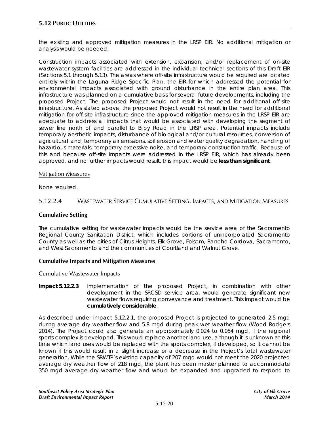the existing and approved mitigation measures in the LRSP EIR. No additional mitigation or analysis would be needed.

Construction impacts associated with extension, expansion, and/or replacement of on-site wastewater system facilities are addressed in the individual technical sections of this Draft EIR (Sections 5.1 through 5.13). The areas where off-site infrastructure would be required are located entirely within the Laguna Ridge Specific Plan, the EIR for which addressed the potential for environmental impacts associated with ground disturbance in the entire plan area. This infrastructure was planned on a cumulative basis for several future developments, including the proposed Project. The proposed Project would not result in the need for additional off-site infrastructure. As stated above, the proposed Project would not result in the need for additional mitigation for off-site infrastructure since the approved mitigation measures in the LRSP EIR are adequate to address all impacts that would be associated with developing the segment of sewer line north of and parallel to Bilby Road in the LRSP area. Potential impacts include temporary aesthetic impacts, disturbance of biological and/or cultural resources, conversion of agricultural land, temporary air emissions, soil erosion and water quality degradation, handling of hazardous materials, temporary excessive noise, and temporary construction traffic. Because of this and because off-site impacts were addressed in the LRSP EIR, which has already been approved, and no further impacts would result, this impact would be **less than significant**.

#### Mitigation Measures

None required.

## 5.12.2.4 WASTEWATER SERVICE CUMULATIVE SETTING, IMPACTS, AND MITIGATION MEASURES

### **Cumulative Setting**

The cumulative setting for wastewater impacts would be the service area of the Sacramento Regional County Sanitation District, which includes portions of unincorporated Sacramento County as well as the cities of Citrus Heights, Elk Grove, Folsom, Rancho Cordova, Sacramento, and West Sacramento and the communities of Courtland and Walnut Grove.

### **Cumulative Impacts and Mitigation Measures**

Cumulative Wastewater Impacts

**Impact 5.12.2.3** Implementation of the proposed Project, in combination with other development in the SRCSD service area, would generate significant new wastewater flows requiring conveyance and treatment. This impact would be **cumulatively considerable**.

As described under Impact 5.12.2.1, the proposed Project is projected to generated 2.5 mgd during average dry weather flow and 5.8 mgd during peak wet weather flow (Wood Rodgers 2014). The Project could also generate an approximately 0.024 to 0.054 mgd, if the regional sports complex is developed. This would replace another land use, although it is unknown at this time which land uses would be replaced with the sports complex, if developed, so it cannot be known if this would result in a slight increase or a decrease in the Project's total wastewater generation. While the SRWTP's existing capacity of 207 mgd would not meet the 2020 projected average dry weather flow of 218 mgd, the plant has been master planned to accommodate 350 mgd average dry weather flow and would be expanded and upgraded to respond to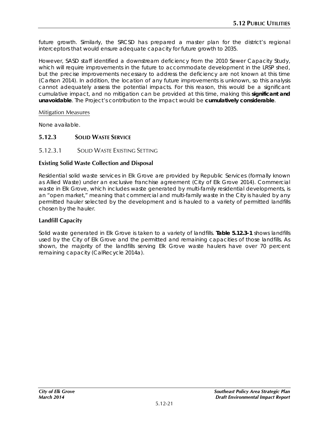future growth. Similarly, the SRCSD has prepared a master plan for the district's regional interceptors that would ensure adequate capacity for future growth to 2035.

However, SASD staff identified a downstream deficiency from the 2010 Sewer Capacity Study, which will require improvements in the future to accommodate development in the LRSP shed, but the precise improvements necessary to address the deficiency are not known at this time (Carlson 2014). In addition, the location of any future improvements is unknown, so this analysis cannot adequately assess the potential impacts. For this reason, this would be a significant cumulative impact, and no mitigation can be provided at this time, making this **significant and unavoidable**. The Project's contribution to the impact would be **cumulatively considerable**.

#### Mitigation Measures

None available.

# **5.12.3 SOLID WASTE SERVICE**

### 5.12.3.1 SOLID WASTE EXISTING SETTING

### **Existing Solid Waste Collection and Disposal**

Residential solid waste services in Elk Grove are provided by Republic Services (formally known as Allied Waste) under an exclusive franchise agreement (City of Elk Grove 2014). Commercial waste in Elk Grove, which includes waste generated by multi-family residential developments, is an "open market," meaning that commercial and multi-family waste in the City is hauled by any permitted hauler selected by the development and is hauled to a variety of permitted landfills chosen by the hauler.

# **Landfill Capacity**

Solid waste generated in Elk Grove is taken to a variety of landfills. **Table 5.12.3-1** shows landfills used by the City of Elk Grove and the permitted and remaining capacities of those landfills. As shown, the majority of the landfills serving Elk Grove waste haulers have over 70 percent remaining capacity (CalRecycle 2014a).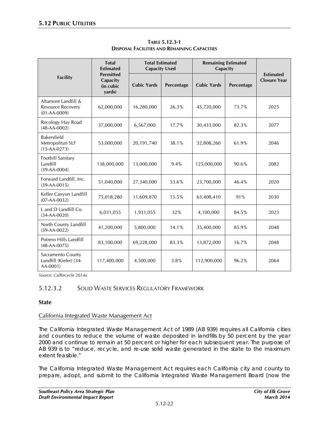|                                                                       | <b>Total</b><br><b>Estimated</b>                    | <b>Total Estimated</b><br><b>Capacity Used</b> |            | <b>Remaining Estimated</b><br>Capacity |            |                                         |
|-----------------------------------------------------------------------|-----------------------------------------------------|------------------------------------------------|------------|----------------------------------------|------------|-----------------------------------------|
| <b>Facility</b>                                                       | <b>Permitted</b><br>Capacity<br>(in cubic<br>yards) | <b>Cubic Yards</b>                             | Percentage | <b>Cubic Yards</b>                     | Percentage | <b>Estimated</b><br><b>Closure Year</b> |
| Altamont Landfill &<br><b>Resource Recovery</b><br>$(01 - AA - 0009)$ | 62,000,000                                          | 16,280,000                                     | 26.3%      | 45,720,000                             | 73.7%      | 2025                                    |
| Recology Hay Road<br>$(48-AA-0002)$                                   | 37,000,000                                          | 6,567,000                                      | 17.7%      | 30,433,000                             | 82.3%      | 2077                                    |
| <b>Bakersfield</b><br>Metropolitan SLF<br>$(15-AA-0273)$              | 53,000,000                                          | 20,191,740                                     | 38.1%      | 32,808,260                             | 61.9%      | 2046                                    |
| Foothill Sanitary<br>Landfill<br>$(39-AA-0004)$                       | 138,000,000                                         | 13,000,000                                     | 9.4%       | 125,000,000                            | 90.6%      | 2082                                    |
| Forward Landfill, Inc.<br>$(39-AA-0015)$                              | 51,040,000                                          | 27,340,000                                     | 53.6%      | 23,700,000                             | 46.4%      | 2020                                    |
| Keller Canyon Landfill<br>$(07-AA-0032)$                              | 75,018,280                                          | 11,609,870                                     | 15.5%      | 63,408,410                             | 91%        | 2030                                    |
| L and D Landfill Co.<br>$(34-AA-0020)$                                | 6,031,055                                           | 1,931,055                                      | 32%        | 4,100,000                              | 84.5%      | 2023                                    |
| North County Landfill<br>$(39-AA-0022)$                               | 41,200,000                                          | 5,800,000                                      | 14.1%      | 35,400,000                             | 85.9%      | 2048                                    |
| Potrero Hills Landfill<br>$(48-AA-0075)$                              | 83,100,000                                          | 69,228,000                                     | 83.3%      | 13,872,000                             | 16.7%      | 2048                                    |
| Sacramento County<br>Landfill (Kiefer) (34-<br>AA-0001)               | 117,400,000                                         | 4,500,000                                      | 3.8%       | 112,900,000                            | 96.2%      | 2064                                    |

**TABLE 5.12.3-1 DISPOSAL FACILITIES AND REMAINING CAPACITIES**

*Source: CalRecycle 2014a*

# 5.12.3.2 SOLID WASTE SERVICES REGULATORY FRAMEWORK

#### **State**

### California Integrated Waste Management Act

The California Integrated Waste Management Act of 1989 (AB 939) requires all California cities and counties to reduce the volume of waste deposited in landfills by 50 percent by the year 2000 and continue to remain at 50 percent or higher for each subsequent year. The purpose of AB 939 is to "reduce, recycle, and re-use solid waste generated in the state to the maximum extent feasible."

The California Integrated Waste Management Act requires each California city and county to prepare, adopt, and submit to the California Integrated Waste Management Board [now the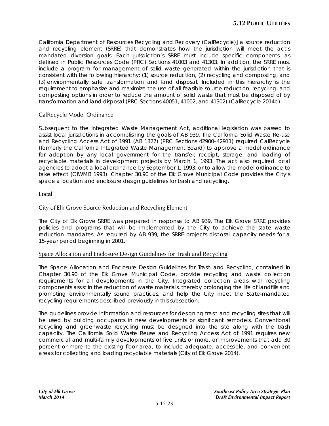California Department of Resources Recycling and Recovery (CalRecycle)] a source reduction and recycling element (SRRE) that demonstrates how the jurisdiction will meet the act's mandated diversion goals. Each jurisdiction's SRRE must include specific components, as defined in Public Resources Code (PRC) Sections [41003](http://www.leginfo.ca.gov/cgi-bin/displaycode?section=prc&group=40001-41000&file=41000-41003) and [41303.](http://www.leginfo.ca.gov/cgi-bin/displaycode?section=prc&group=41001-42000&file=41300-41303) In addition, the SRRE must include a program for management of solid waste generated within the jurisdiction that is consistent with the following hierarchy: (1) source reduction, (2) recycling and composting, and (3) environmentally safe transformation and land disposal. Included in this hierarchy is the requirement to emphasize and maximize the use of all feasible source reduction, recycling, and composting options in order to reduce the amount of solid waste that must be disposed of by transformation and land disposal (PRC Sections [40051,](http://www.leginfo.ca.gov/cgi-bin/displaycode?section=prc&group=40001-41000&file=40050-40063) [41002,](http://www.leginfo.ca.gov/cgi-bin/displaycode?section=prc&group=40001-41000&file=41000-41003) and [41302\)](http://www.leginfo.ca.gov/cgi-bin/displaycode?section=prc&group=41001-42000&file=41300-41303) [\(CalRecycle](http://www.ciwmb.ca.gov/) 2014b).

## CalRecycle Model Ordinance

Subsequent to the Integrated Waste Management Act, additional legislation was passed to assist local jurisdictions in accomplishing the goals of AB 939. The California Solid Waste Re-use and Recycling Access Act of 1991 (AB 1327) (PRC Sections 42900–42911) required CalRecycle (formerly the California Integrated Waste Management Board) to approve a model ordinance for adoption by any local government for the transfer, receipt, storage, and loading of recyclable materials in development projects by March 1, 1993. The act also required local agencies to adopt a local ordinance by September 1, 1993, or to allow the model ordinance to take effect (CIWMB 1993). Chapter 30.90 of the Elk Grove Municipal Code provides the City's space allocation and enclosure design guidelines for trash and recycling.

## **Local**

## City of Elk Grove Source Reduction and Recycling Element

The City of Elk Grove SRRE was prepared in response to AB 939. The Elk Grove SRRE provides policies and programs that will be implemented by the City to achieve the state waste reduction mandates. As required by AB 939, the SRRE projects disposal capacity needs for a 15-year period beginning in 2001.

### Space Allocation and Enclosure Design Guidelines for Trash and Recycling

The Space Allocation and Enclosure Design Guidelines for Trash and Recycling, contained in Chapter 30.90 of the Elk Grove Municipal Code, provide recycling and waste collection requirements for all developments in the City. Integrated collection areas with recycling components assist in the reduction of waste materials, thereby prolonging the life of landfills and promoting environmentally sound practices, and help the City meet the State-mandated recycling requirements described previously in this subsection.

The guidelines provide information and resources for designing trash and recycling sites that will be used by building occupants in new developments or significant remodels. Conventional recycling and greenwaste recycling must be designed into the site along with the trash capacity. The California Solid Waste Reuse and Recycling Access Act of 1991 requires new commercial and multi-family developments of five units or more, or improvements that add 30 percent or more to the existing floor area, to include adequate, accessible, and convenient areas for collecting and loading recyclable materials (City of Elk Grove 2014).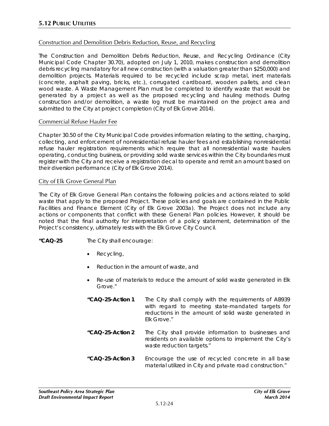## Construction and Demolition Debris Reduction, Reuse, and Recycling

The Construction and Demolition Debris Reduction, Reuse, and Recycling Ordinance (City Municipal Code Chapter 30.70), adopted on July 1, 2010, makes construction and demolition debris recycling mandatory for all new construction (with a valuation greater than \$250,000) and demolition projects. Materials required to be recycled include scrap metal, inert materials (concrete, asphalt paving, bricks, etc.), corrugated cardboard, wooden pallets, and clean wood waste. A Waste Management Plan must be completed to identify waste that would be generated by a project as well as the proposed recycling and hauling methods. During construction and/or demolition, a waste log must be maintained on the project area and submitted to the City at project completion (City of Elk Grove 2014).

### Commercial Refuse Hauler Fee

Chapter 30.50 of the City Municipal Code provides information relating to the setting, charging, collecting, and enforcement of nonresidential refuse hauler fees and establishing nonresidential refuse hauler registration requirements which require that all nonresidential waste haulers operating, conducting business, or providing solid waste services within the City boundaries must register with the City and receive a registration decal to operate and remit an amount based on their diversion performance (City of Elk Grove 2014).

#### City of Elk Grove General Plan

The City of Elk Grove General Plan contains the following policies and actions related to solid waste that apply to the proposed Project. These policies and goals are contained in the Public Facilities and Finance Element (City of Elk Grove 2003a). The Project does not include any actions or components that conflict with these General Plan policies. However, it should be noted that the final authority for interpretation of a policy statement, determination of the Project's consistency, ultimately rests with the Elk Grove City Council.

- **"CAQ-25** The City shall encourage:
	- Recycling,
	- Reduction in the amount of waste, and
	- Re-use of materials to reduce the amount of solid waste generated in Elk Grove."
	- *"CAQ-25-Action 1 The City shall comply with the requirements of AB939 with regard to meeting state-mandated targets for reductions in the amount of solid waste generated in Elk Grove."*
	- *"CAQ-25-Action 2 The City shall provide information to businesses and residents on available options to implement the City's waste reduction targets."*
	- *"CAQ-25-Action 3 Encourage the use of recycled concrete in all base material utilized in City and private road construction."*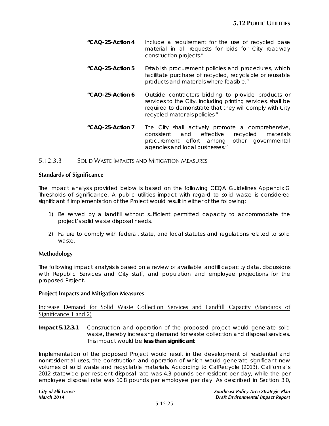- *"CAQ-25-Action 4 Include a requirement for the use of recycled base material in all requests for bids for City roadway construction projects."*
- *"CAQ-25-Action 5 Establish procurement policies and procedures, which facilitate purchase of recycled, recyclable or reusable products and materials where feasible."*
- *"CAQ-25-Action 6 Outside contractors bidding to provide products or services to the City, including printing services, shall be required to demonstrate that they will comply with City recycled materials policies."*
- *"CAQ-25-Action 7 The City shall actively promote a comprehensive, consistent and effective recycled materials procurement effort among other governmental agencies and local businesses."*

### 5.12.3.3 SOLID WASTE IMPACTS AND MITIGATION MEASURES

#### **Standards of Significance**

The impact analysis provided below is based on the following CEQA Guidelines Appendix G Thresholds of significance. A public utilities impact with regard to solid waste is considered significant if implementation of the Project would result in either of the following:

- 1) Be served by a landfill without sufficient permitted capacity to accommodate the project's solid waste disposal needs.
- 2) Failure to comply with federal, state, and local statutes and regulations related to solid waste.

### **Methodology**

The following impact analysis is based on a review of available landfill capacity data, discussions with Republic Services and City staff, and population and employee projections for the proposed Project.

#### **Project Impacts and Mitigation Measures**

Increase Demand for Solid Waste Collection Services and Landfill Capacity (Standards of Significance 1 and 2)

**Impact 5.12.3.1** Construction and operation of the proposed project would generate solid waste, thereby increasing demand for waste collection and disposal services. This impact would be **less than significant**.

Implementation of the proposed Project would result in the development of residential and nonresidential uses, the construction and operation of which would generate significant new volumes of solid waste and recyclable materials. According to CalRecycle (2013), California's 2012 statewide per resident disposal rate was 4.3 pounds per resident per day, while the per employee disposal rate was 10.8 pounds per employee per day. As described in Section 3.0,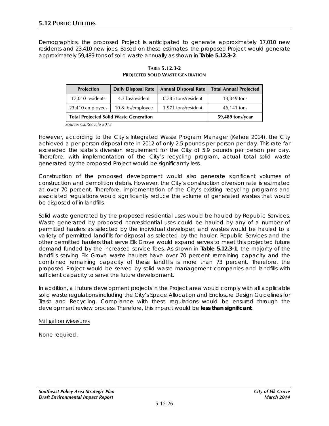Demographics, the proposed Project is anticipated to generate approximately 17,010 new residents and 23,410 new jobs. Based on these estimates, the proposed Project would generate approximately 59,489 tons of solid waste annually as shown in **Table 5.12.3-2**.

| <b>Projection</b>                             | <b>Daily Disposal Rate</b> | <b>Annual Disposal Rate</b> | <b>Total Annual Projected</b> |
|-----------------------------------------------|----------------------------|-----------------------------|-------------------------------|
| 17,010 residents                              | 4.3 lbs/resident           | 0.785 tons/resident         | 13,349 tons                   |
| 23,410 employees                              | 10.8 lbs/employee          | 1.971 tons/resident         | 46,141 tons                   |
| <b>Total Projected Solid Waste Generation</b> | 59,489 tons/year           |                             |                               |

#### **TABLE 5.12.3-2 PROJECTED SOLID WASTE GENERATION**

*Source: CalRecycle 2013*

However, according to the City's Integrated Waste Program Manager (Kehoe 2014), the City achieved a per person disposal rate in 2012 of only 2.5 pounds per person per day. This rate far exceeded the state's diversion requirement for the City of 5.9 pounds per person per day. Therefore, with implementation of the City's recycling program, actual total solid waste generated by the proposed Project would be significantly less.

Construction of the proposed development would also generate significant volumes of construction and demolition debris. However, the City's construction diversion rate is estimated at over 70 percent. Therefore, implementation of the City's existing recycling programs and associated regulations would significantly reduce the volume of generated wastes that would be disposed of in landfills.

Solid waste generated by the proposed residential uses would be hauled by Republic Services. Waste generated by proposed nonresidential uses could be hauled by any of a number of permitted haulers as selected by the individual developer, and wastes would be hauled to a variety of permitted landfills for disposal as selected by the hauler. Republic Services and the other permitted haulers that serve Elk Grove would expand serves to meet this projected future demand funded by the increased service fees. As shown in **Table 5.12.3-1**, the majority of the landfills serving Elk Grove waste haulers have over 70 percent remaining capacity and the combined remaining capacity of these landfills is more than 73 percent. Therefore, the proposed Project would be served by solid waste management companies and landfills with sufficient capacity to serve the future development.

In addition, all future development projects in the Project area would comply with all applicable solid waste regulations including the City's Space Allocation and Enclosure Design Guidelines for Trash and Recycling. Compliance with these regulations would be ensured through the development review process. Therefore, this impact would be **less than significant**.

#### Mitigation Measures

None required.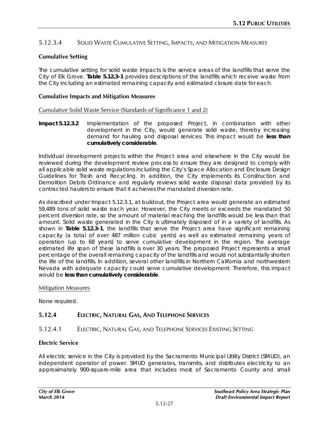## 5.12.3.4 SOLID WASTE CUMULATIVE SETTING, IMPACTS, AND MITIGATION MEASURES

## **Cumulative Setting**

The cumulative setting for solid waste impacts is the service areas of the landfills that serve the City of Elk Grove. **Table 5.12.3-1** provides descriptions of the landfills which receive waste from the City including an estimated remaining capacity and estimated closure date for each.

#### **Cumulative Impacts and Mitigation Measures**

Cumulative Solid Waste Service (Standards of Significance 1 and 2)

**Impact 5.12.3.2** Implementation of the proposed Project, in combination with other development in the City, would generate solid waste, thereby increasing demand for hauling and disposal services. This impact would be **less than cumulatively considerable**.

Individual development projects within the Project area and elsewhere in the City would be reviewed during the development review process to ensure they are designed to comply with all applicable solid waste regulations including the City's Space Allocation and Enclosure Design Guidelines for Trash and Recycling. In addition, the City implements its Construction and Demolition Debris Ordinance and regularly reviews solid waste disposal data provided by its contracted haulers to ensure that it achieves the mandated diversion rate.

As described under Impact 5.12.3.1, at buildout, the Project area would generate an estimated 59,489 tons of solid waste each year. However, the City meets or exceeds the mandated 50 percent diversion rate, so the amount of material reaching the landfills would be less than that amount. Solid waste generated in the City is ultimately disposed of in a variety of landfills. As shown in **Table 5.12.3-1**, the landfills that serve the Project area have significant remaining capacity (a total of over 487 million cubic yards) as well as estimated remaining years of operation (up to 68 years) to serve cumulative development in the region. The average estimated life span of these landfills is over 30 years. The proposed Project represents a small percentage of the overall remaining capacity of the landfills and would not substantially shorten the life of the landfills. In addition, several other landfills in Northern California and northwestern Nevada with adequate capacity could serve cumulative development. Therefore, this impact would be **less than cumulatively considerable**.

#### Mitigation Measures

None required.

# **5.12.4 ELECTRIC, NATURAL GAS, AND TELEPHONE SERVICES**

### 5.12.4.1 ELECTRIC, NATURAL GAS, AND TELEPHONE SERVICES EXISTING SETTING

### **Electric Service**

All electric service in the City is provided by the Sacramento Municipal Utility District (SMUD), an independent operator of power. SMUD generates, transmits, and distributes electricity to an approximately 900-square-mile area that includes most of Sacramento County and small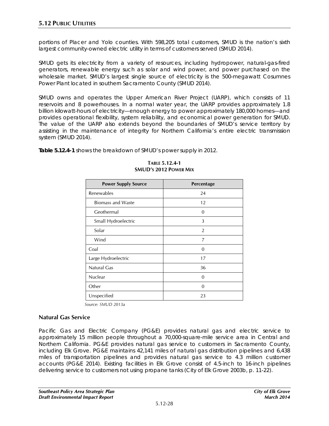portions of Placer and Yolo counties. With 598,205 total customers, SMUD is the nation's sixth largest community-owned electric utility in terms of customers served (SMUD 2014).

SMUD gets its electricity from a variety of resources, including hydropower, natural-gas-fired generators, renewable energy such as solar and wind power, and power purchased on the wholesale market. SMUD's largest single source of electricity is the 500-megawatt Cosumnes Power Plant located in southern Sacramento County (SMUD 2014).

SMUD owns and operates the Upper American River Project (UARP), which consists of 11 reservoirs and 8 powerhouses. In a normal water year, the UARP provides approximately 1.8 billion kilowatt-hours of electricity—enough energy to power approximately 180,000 homes—and provides operational flexibility, system reliability, and economical power generation for SMUD. The value of the UARP also extends beyond the boundaries of SMUD's service territory by assisting in the maintenance of integrity for Northern California's entire electric transmission system (SMUD 2014).

**Table 5.12.4-1** shows the breakdown of SMUD's power supply in 2012.

| <b>Power Supply Source</b> | Percentage     |
|----------------------------|----------------|
| Renewables                 | 24             |
| <b>Biomass and Waste</b>   | 12             |
| Geothermal                 | $\Omega$       |
| Small Hydroelectric        | 3              |
| Solar                      | $\overline{2}$ |
| Wind                       | 7              |
| Coal                       | $\Omega$       |
| Large Hydroelectric        | 17             |
| Natural Gas                | 36             |
| Nuclear                    | $\Omega$       |
| Other                      | 0              |
| Unspecified                | 23             |

#### **TABLE 5.12.4-1 SMUD'S 2012 POWER MIX**

*Source: SMUD 2013a*

### **Natural Gas Service**

Pacific Gas and Electric Company (PG&E) provides [natural gas](http://www.pge.com/mybusiness/edusafety/systemworks/gas/) and [electric service](http://www.pge.com/mybusiness/edusafety/systemworks/electric/) to approximately 15 million people throughout a 70,000-square-mile service area in Central and Northern California. PG&E provides natural gas service to customers in Sacramento County, including Elk Grove. PG&E maintains 42,141 miles of natural gas distribution pipelines and 6,438 miles of transportation pipelines and provides natural gas service to 4.3 million customer accounts (PG&E 2014). Existing facilities in Elk Grove consist of 4.5-inch to 16-inch pipelines delivering service to customers not using propane tanks (City of Elk Grove 2003b, p. 11-22).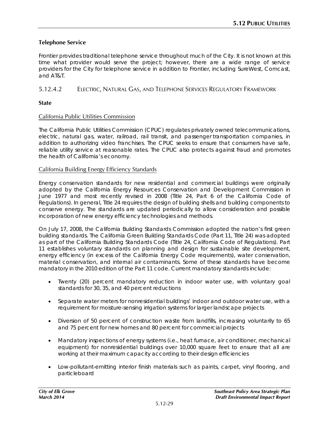## **Telephone Service**

Frontier provides traditional telephone service throughout much of the City. It is not known at this time what provider would serve the project; however, there are a wide range of service providers for the City for telephone service in addition to Frontier, including SureWest, Comcast, and AT&T.

## 5.12.4.2 ELECTRIC, NATURAL GAS, AND TELEPHONE SERVICES REGULATORY FRAMEWORK

## **State**

## California Public Utilities Commission

The California Public Utilities Commission (CPUC) regulates privately owned telecommunications, electric, natural gas, water, railroad, rail transit, and passenger transportation companies, in addition to authorizing video franchises. The CPUC seeks to ensure that consumers have safe, reliable utility service at reasonable rates. The CPUC also protects against fraud and promotes the health of California's economy.

### California Building Energy Efficiency Standards

Energy conservation standards for new residential and commercial buildings were originally adopted by the California Energy Resources Conservation and Development Commission in June 1977 and most recently revised in 2008 (Title 24, Part 6 of the California Code of Regulations). In general, Title 24 requires the design of building shells and building components to conserve energy. The standards are updated periodically to allow consideration and possible incorporation of new energy efficiency technologies and methods.

On July 17, 2008, the California Building Standards Commission adopted the nation's first green building standards. The California Green Building Standards Code (Part 11, Title 24) was adopted as part of the California Building Standards Code (Title 24, California Code of Regulations). Part 11 establishes voluntary standards on planning and design for sustainable site development, energy efficiency (in excess of the California Energy Code requirements), water conservation, material conservation, and internal air contaminants. Some of these standards have become mandatory in the 2010 edition of the Part 11 code. Current mandatory standards include:

- Twenty (20) percent mandatory reduction in indoor water use, with voluntary goal standards for 30, 35, and 40 percent reductions
- Separate water meters for nonresidential buildings' indoor and outdoor water use, with a requirement for moisture-sensing irrigation systems for larger landscape projects
- Diversion of 50 percent of construction waste from landfills, increasing voluntarily to 65 and 75 percent for new homes and 80 percent for commercial projects
- Mandatory inspections of energy systems (i.e., heat furnace, air conditioner, mechanical equipment) for nonresidential buildings over 10,000 square feet to ensure that all are working at their maximum capacity according to their design efficiencies
- Low-pollutant-emitting interior finish materials such as paints, carpet, vinyl flooring, and particleboard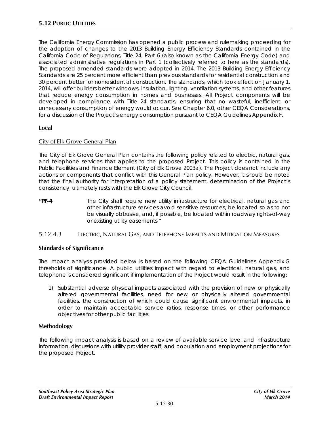The California Energy Commission has opened a public process and rulemaking proceeding for the adoption of changes to the 2013 Building Energy Efficiency Standards contained in the California Code of Regulations, Title 24, Part 6 (also known as the California Energy Code) and associated administrative regulations in Part 1 (collectively referred to here as the standards). The proposed amended standards were adopted in 2014. The 2013 Building Energy Efficiency Standards are 25 percent more efficient than previous standards for residential construction and 30 percent better for nonresidential construction. The standards, which took effect on January 1, 2014, will offer builders better windows, insulation, lighting, ventilation systems, and other features that reduce energy consumption in homes and businesses. All Project components will be developed in compliance with Title 24 standards, ensuring that no wasteful, inefficient, or unnecessary consumption of energy would occur. See Chapter 6.0, other CEQA Considerations, for a discussion of the Project's energy consumption pursuant to CEQA Guidelines Appendix F.

# **Local**

### City of Elk Grove General Plan

The City of Elk Grove General Plan contains the following policy related to electric, natural gas, and telephone services that applies to the proposed Project. This policy is contained in the Public Facilities and Finance Element (City of Elk Grove 2003a). The Project does not include any actions or components that conflict with this General Plan policy. However, it should be noted that the final authority for interpretation of a policy statement, determination of the Project's consistency, ultimately rests with the Elk Grove City Council.

**"PF-4** The City shall require new utility infrastructure for electrical, natural gas and other infrastructure services avoid sensitive resources, be located so as to not be visually obtrusive, and, if possible, be located within roadway rights-of-way or existing utility easements."

### 5.12.4.3 ELECTRIC, NATURAL GAS, AND TELEPHONE IMPACTS AND MITIGATION MEASURES

### **Standards of Significance**

The impact analysis provided below is based on the following CEQA Guidelines Appendix G thresholds of significance. A public utilities impact with regard to electrical, natural gas, and telephone is considered significant if implementation of the Project would result in the following:

1) Substantial adverse physical impacts associated with the provision of new or physically altered governmental facilities, need for new or physically altered governmental facilities, the construction of which could cause significant environmental impacts, in order to maintain acceptable service ratios, response times, or other performance objectives for other public facilities.

### **Methodology**

The following impact analysis is based on a review of available service level and infrastructure information, discussions with utility provider staff, and population and employment projections for the proposed Project.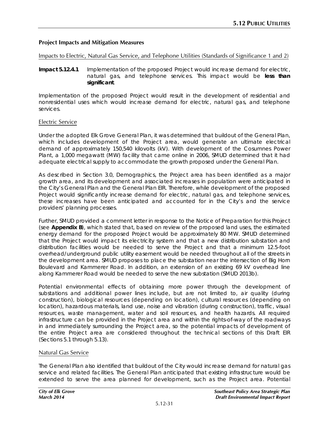### **Project Impacts and Mitigation Measures**

#### Impacts to Electric, Natural Gas Service, and Telephone Utilities (Standards of Significance 1 and 2)

**Impact 5.12.4.1** Implementation of the proposed Project would increase demand for electric, natural gas, and telephone services. This impact would be **less than significant**.

Implementation of the proposed Project would result in the development of residential and nonresidential uses which would increase demand for electric, natural gas, and telephone services.

#### Electric Service

Under the adopted Elk Grove General Plan, it was determined that buildout of the General Plan, which includes development of the Project area, would generate an ultimate electrical demand of approximately 150,540 kilovolts (kV). With development of the Cosumnes Power Plant, a 1,000 megawatt (MW) facility that came online in 2006, SMUD determined that it had adequate electrical supply to accommodate the growth proposed under the General Plan.

As described in Section 3.0, Demographics, the Project area has been identified as a major growth area, and its development and associated increases in population were anticipated in the City's General Plan and the General Plan EIR. Therefore, while development of the proposed Project would significantly increase demand for electric, natural gas, and telephone services, these increases have been anticipated and accounted for in the City's and the service providers' planning processes.

Further, SMUD provided a comment letter in response to the Notice of Preparation for this Project (see **Appendix B**), which stated that, based on review of the proposed land uses, the estimated energy demand for the proposed Project would be approximately 80 MW. SMUD determined that the Project would impact its electricity system and that a new distribution substation and distribution facilities would be needed to serve the Project and that a minimum 12.5-foot overhead/underground public utility easement would be needed throughout all of the streets in the development area. SMUD proposes to place the substation near the intersection of Big Horn Boulevard and Kammerer Road. In addition, an extension of an existing 69 kV overhead line along Kammerer Road would be needed to serve the new substation (SMUD 2013b).

Potential environmental effects of obtaining more power through the development of substations and additional power lines include, but are not limited to, air quality (during construction), biological resources (depending on location), cultural resources (depending on location), hazardous materials, land use, noise and vibration (during construction), traffic, visual resources, waste management, water and soil resources, and health hazards. All required infrastructure can be provided in the Project area and within the rights-of-way of the roadways in and immediately surrounding the Project area, so the potential impacts of development of the entire Project area are considered throughout the technical sections of this Draft EIR (Sections 5.1 through 5.13).

### Natural Gas Service

The General Plan also identified that buildout of the City would increase demand for natural gas service and related facilities. The General Plan anticipated that existing infrastructure would be extended to serve the area planned for development, such as the Project area. Potential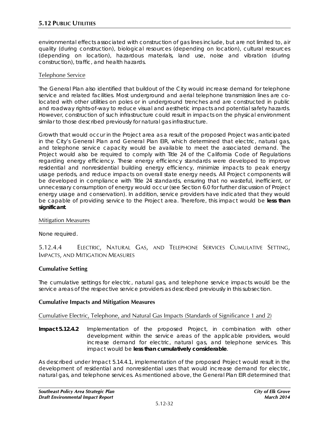environmental effects associated with construction of gas lines include, but are not limited to, air quality (during construction), biological resources (depending on location), cultural resources (depending on location), hazardous materials, land use, noise and vibration (during construction), traffic, and health hazards.

## Telephone Service

The General Plan also identified that buildout of the City would increase demand for telephone service and related facilities. Most underground and aerial telephone transmission lines are colocated with other utilities on poles or in underground trenches and are constructed in public and roadway rights-of-way to reduce visual and aesthetic impacts and potential safety hazards. However, construction of such infrastructure could result in impacts on the physical environment similar to those described previously for natural gas infrastructure.

Growth that would occur in the Project area as a result of the proposed Project was anticipated in the City's General Plan and General Plan EIR, which determined that electric, natural gas, and telephone service capacity would be available to meet the associated demand. The Project would also be required to comply with Title 24 of the California Code of Regulations regarding energy efficiency. These energy efficiency standards were developed to improve residential and nonresidential building energy efficiency, minimize impacts to peak energy usage periods, and reduce impacts on overall state energy needs. All Project components will be developed in compliance with Title 24 standards, ensuring that no wasteful, inefficient, or unnecessary consumption of energy would occur (see Section 6.0 for further discussion of Project energy usage and conservation). In addition, service providers have indicated that they would be capable of providing service to the Project area. Therefore, this impact would be **less than significant**.

### Mitigation Measures

None required.

# 5.12.4.4 ELECTRIC, NATURAL GAS, AND TELEPHONE SERVICES CUMULATIVE SETTING, IMPACTS, AND MITIGATION MEASURES

# **Cumulative Setting**

The cumulative settings for electric, natural gas, and telephone service impacts would be the service areas of the respective service providers as described previously in this subsection.

### **Cumulative Impacts and Mitigation Measures**

# Cumulative Electric, Telephone, and Natural Gas Impacts (Standards of Significance 1 and 2)

**Impact 5.12.4.2** Implementation of the proposed Project, in combination with other development within the service areas of the applicable providers, would increase demand for electric, natural gas, and telephone services. This impact would be **less than cumulatively considerable**.

As described under Impact 5.14.4.1, implementation of the proposed Project would result in the development of residential and nonresidential uses that would increase demand for electric, natural gas, and telephone services. As mentioned above, the General Plan EIR determined that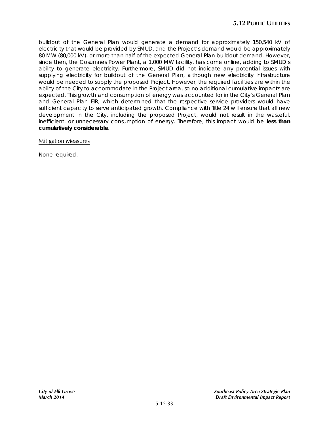buildout of the General Plan would generate a demand for approximately 150,540 kV of electricity that would be provided by SMUD, and the Project's demand would be approximately 80 MW (80,000 kV), or more than half of the expected General Plan buildout demand. However, since then, the Cosumnes Power Plant, a 1,000 MW facility, has come online, adding to SMUD's ability to generate electricity. Furthermore, SMUD did not indicate any potential issues with supplying electricity for buildout of the General Plan, although new electricity infrastructure would be needed to supply the proposed Project. However, the required facilities are within the ability of the City to accommodate in the Project area, so no additional cumulative impacts are expected. This growth and consumption of energy was accounted for in the City's General Plan and General Plan EIR, which determined that the respective service providers would have sufficient capacity to serve anticipated growth. Compliance with Title 24 will ensure that all new development in the City, including the proposed Project, would not result in the wasteful, inefficient, or unnecessary consumption of energy. Therefore, this impact would be **less than cumulatively considerable**.

#### Mitigation Measures

None required.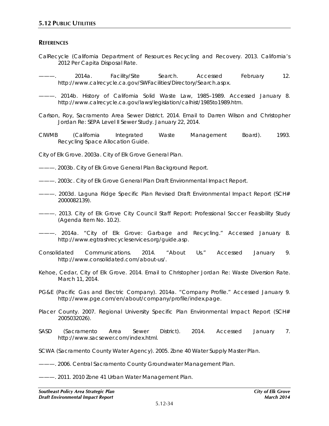#### **REFERENCES**

- CalRecycle (California Department of Resources Recycling and Recovery. 2013. *California's 2012 Per Capita Disposal Rate*.
- ———. 2014a. *Facility/Site Search*. Accessed February 12. http://www.calrecycle.ca.gov/SWFacilities/Directory/Search.aspx.
- ———. 2014b. *History of California Solid Waste Law, 1985–1989*. Accessed January 8. http://www.calrecycle.ca.gov/laws/legislation/calhist/1985to1989.htm.
- Carlson, Roy, Sacramento Area Sewer District. 2014. Email to Darren Wilson and Christopher Jordan Re: SEPA Level II Sewer Study. January 22, 2014.
- CIWMB (California Integrated Waste Management Board). 1993. *Recycling Space Allocation Guide*.

City of Elk Grove. 2003a. *City of Elk Grove General Plan*.

- ———. 2003b. *City of Elk Grove General Plan Background Report*.
- ———. 2003c. *City of Elk Grove General Plan Draft Environmental Impact Report.*
- ———. 2003d. Laguna Ridge Specific Plan Revised Draft Environmental Impact Report (SCH# 2000082139).
- ———. 2013. *City of Elk Grove City Council Staff Report: Professional Soccer Feasibility Study (Agenda Item No. 10.2)*.
- ———. 2014a. "City of Elk Grove: Garbage and Recycling." Accessed January 8. http://www.egtrashrecycleservices.org/guide.asp.
- Consolidated Communications. 2014. "About Us." Accessed January 9. http://www.consolidated.com/about-us/.
- Kehoe, Cedar, City of Elk Grove. 2014. Email to Christopher Jordan Re: Waste Diversion Rate. March 11, 2014.
- PG&E (Pacific Gas and Electric Company). 2014a. "Company Profile." Accessed January 9. http://www.pge.com/en/about/company/profile/index.page.
- Placer County. 2007. *Regional University Specific Plan Environmental Impact Report* (SCH# 2005032026).
- SASD (Sacramento Area Sewer District). 2014. Accessed January 7. http://www.sacsewer.com/index.html.
- SCWA (Sacramento County Water Agency). 2005. *Zone 40 Water Supply Master Plan*.
- ———. 2006. *Central Sacramento County Groundwater Management Plan*.
- ———. 2011. *2010 Zone 41 Urban Water Management Plan*.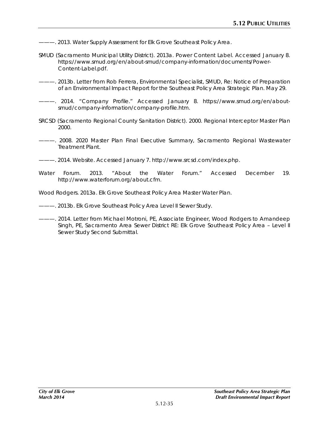- ———. 2013. *Water Supply Assessment for Elk Grove Southeast Policy Area*.
- SMUD (Sacramento Municipal Utility District). 2013a. *Power Content Label*. Accessed January 8. https://www.smud.org/en/about-smud/company-information/documents/Power-Content-Label.pdf.
- ———. 2013b. Letter from Rob Ferrera, Environmental Specialist, SMUD, Re: Notice of Preparation of an Environmental Impact Report for the Southeast Policy Area Strategic Plan. May 29.
- ---. 2014. "Company Profile." Accessed January 8. https://www.smud.org/en/aboutsmud/company-information/company-profile.htm.
- SRCSD (Sacramento Regional County Sanitation District). 2000. *Regional Interceptor Master Plan 2000*.
- ———. 2008. *2020 Master Plan Final Executive Summary*, *Sacramento Regional Wastewater Treatment Plant*.
- ———. 2014. Website. Accessed January 7. http://www.srcsd.com/index.php.
- Water Forum. 2013. "About the Water Forum." Accessed December 19. http://www.waterforum.org/about.cfm.
- Wood Rodgers. 2013a. *Elk Grove Southeast Policy Area Master Water Plan*.
- ———. 2013b. *Elk Grove Southeast Policy Area Level II Sewer Study*.
- ———. 2014. *Letter from Michael Motroni, PE, Associate Engineer, Wood Rodgers to Amandeep Singh, PE, Sacramento Area Sewer District RE: Elk Grove Southeast Policy Area – Level II Sewer Study Second Submittal*.